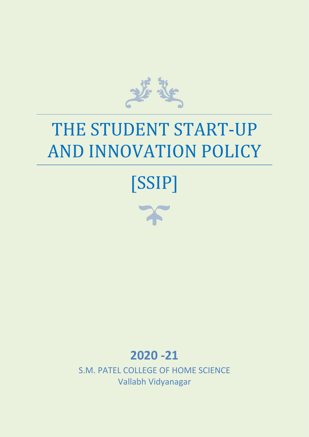

# THE STUDENT START-UP AND INNOVATION POLICY





## **2020 -21**

S.M. PATEL COLLEGE OF HOME SCIENCE Vallabh Vidyanagar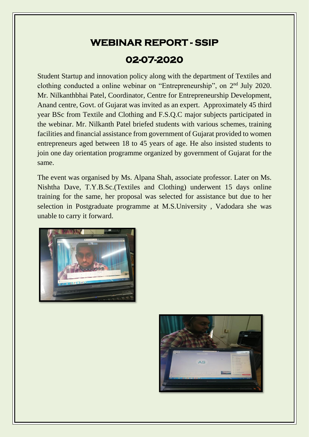### **WEBINAR REPORT - SSIP 02-07-2020**

Student Startup and innovation policy along with the department of Textiles and clothing conducted a online webinar on "Entrepreneurship", on 2<sup>nd</sup> July 2020. Mr. Nilkanthbhai Patel, Coordinator, Centre for Entrepreneurship Development, Anand centre, Govt. of Gujarat was invited as an expert. Approximately 45 third year BSc from Textile and Clothing and F.S.Q.C major subjects participated in the webinar. Mr. Nilkanth Patel briefed students with various schemes, training facilities and financial assistance from government of Gujarat provided to women entrepreneurs aged between 18 to 45 years of age. He also insisted students to join one day orientation programme organized by government of Gujarat for the same.

The event was organised by Ms. Alpana Shah, associate professor. Later on Ms. Nishtha Dave, T.Y.B.Sc.(Textiles and Clothing) underwent 15 days online training for the same, her proposal was selected for assistance but due to her selection in Postgraduate programme at M.S.University , Vadodara she was unable to carry it forward.



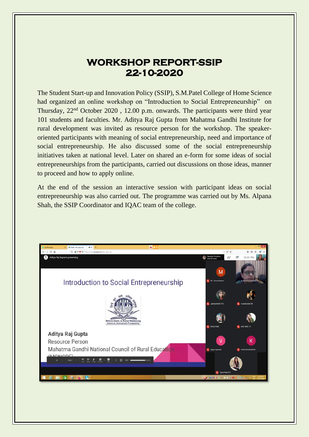#### **WORKSHOP REPORT-SSIP 22-10-2020**

The Student Start-up and Innovation Policy (SSIP), S.M.Patel College of Home Science had organized an online workshop on "Introduction to Social Entrepreneurship" on Thursday, 22nd October 2020 , 12.00 p.m. onwards. The participants were third year 101 students and faculties. Mr. Aditya Raj Gupta from Mahatma Gandhi Institute for rural development was invited as resource person for the workshop. The speakeroriented participants with meaning of social entrepreneurship, need and importance of social entrepreneurship. He also discussed some of the social entrepreneurship initiatives taken at national level. Later on shared an e-form for some ideas of social entrepreneurships from the participants, carried out discussions on those ideas, manner to proceed and how to apply online.

At the end of the session an interactive session with participant ideas on social entrepreneurship was also carried out. The programme was carried out by Ms. Alpana Shah, the SSIP Coordinator and IQAC team of the college.

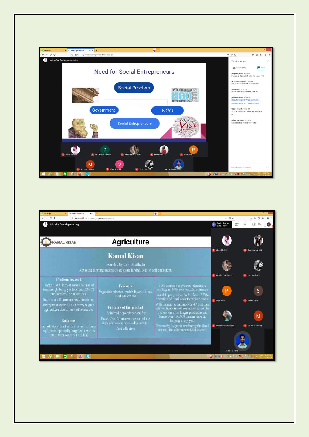